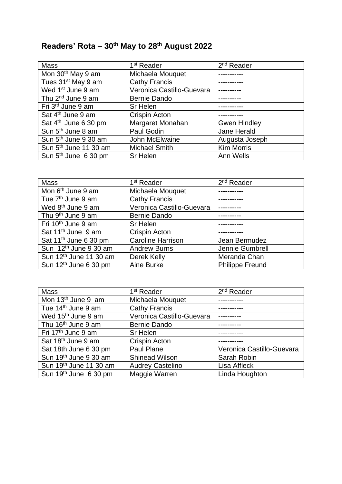## **Readers' Rota – 30th May to 28 th August 2022**

| <b>Mass</b>                       | 1 <sup>st</sup> Reader    | 2 <sup>nd</sup> Reader |
|-----------------------------------|---------------------------|------------------------|
| Mon 30 <sup>th</sup> May 9 am     | Michaela Mouquet          |                        |
| Tues 31 <sup>st</sup> May 9 am    | <b>Cathy Francis</b>      |                        |
| Wed 1 <sup>st</sup> June 9 am     | Veronica Castillo-Guevara |                        |
| Thu 2 <sup>nd</sup> June 9 am     | <b>Bernie Dando</b>       |                        |
| Fri 3rd June 9 am                 | Sr Helen                  |                        |
| Sat 4 <sup>th</sup> June 9 am     | <b>Crispin Acton</b>      |                        |
| Sat 4 <sup>th</sup> June 6 30 pm  | Margaret Monahan          | <b>Gwen Hindley</b>    |
| Sun 5 <sup>th</sup> June 8 am     | Paul Godin                | Jane Herald            |
| Sun 5 <sup>th</sup> June 9 30 am  | John McElwaine            | Augusta Joseph         |
| Sun 5 <sup>th</sup> June 11 30 am | <b>Michael Smith</b>      | <b>Kim Morris</b>      |
| Sun 5 <sup>th</sup> June 6 30 pm  | Sr Helen                  | Ann Wells              |

| <b>Mass</b>                        | 1 <sup>st</sup> Reader    | $2nd$ Reader           |
|------------------------------------|---------------------------|------------------------|
| Mon 6 <sup>th</sup> June 9 am      | Michaela Mouquet          |                        |
| Tue 7 <sup>th</sup> June 9 am      | <b>Cathy Francis</b>      |                        |
| Wed 8 <sup>th</sup> June 9 am      | Veronica Castillo-Guevara |                        |
| Thu 9 <sup>th</sup> June 9 am      | Bernie Dando              |                        |
| Fri 10 <sup>th</sup> June 9 am     | Sr Helen                  |                        |
| Sat 11 <sup>th</sup> June 9 am     | <b>Crispin Acton</b>      |                        |
| Sat 11 <sup>th</sup> June 6 30 pm  | <b>Caroline Harrison</b>  | Jean Bermudez          |
| Sun 12 <sup>th</sup> June 9 30 am  | <b>Andrew Burns</b>       | Jennie Gumbrell        |
| Sun 12 <sup>th</sup> June 11 30 am | Derek Kelly               | Meranda Chan           |
| Sun 12 <sup>th</sup> June 6 30 pm  | Aine Burke                | <b>Philippe Freund</b> |

| <b>Mass</b>                       | 1 <sup>st</sup> Reader    | $2nd$ Reader              |
|-----------------------------------|---------------------------|---------------------------|
| Mon 13 <sup>th</sup> June 9 am    | Michaela Mouquet          |                           |
| Tue 14 <sup>th</sup> June 9 am    | <b>Cathy Francis</b>      |                           |
| Wed 15 <sup>th</sup> June 9 am    | Veronica Castillo-Guevara |                           |
| Thu 16 <sup>th</sup> June 9 am    | <b>Bernie Dando</b>       |                           |
| Fri 17 <sup>th</sup> June 9 am    | Sr Helen                  |                           |
| Sat 18 <sup>th</sup> June 9 am    | Crispin Acton             |                           |
| Sat 18th June 6 30 pm             | Paul Plane                | Veronica Castillo-Guevara |
| Sun 19 <sup>th</sup> June 9 30 am | <b>Shinead Wilson</b>     | Sarah Robin               |
| Sun 19th June 11 30 am            | <b>Audrey Castelino</b>   | Lisa Affleck              |
| Sun 19th June 6 30 pm             | Maggie Warren             | Linda Houghton            |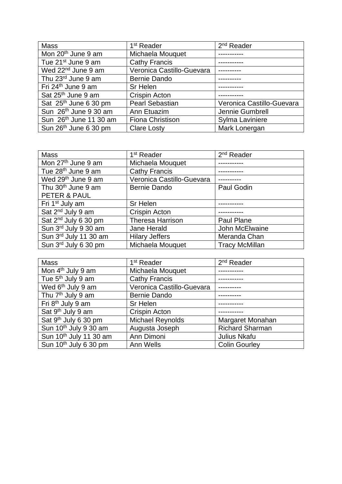| <b>Mass</b>                        | 1 <sup>st</sup> Reader    | $2nd$ Reader              |
|------------------------------------|---------------------------|---------------------------|
| Mon 20 <sup>th</sup> June 9 am     | Michaela Mouquet          |                           |
| Tue 21 <sup>st</sup> June 9 am     | <b>Cathy Francis</b>      |                           |
| Wed 22 <sup>nd</sup> June 9 am     | Veronica Castillo-Guevara |                           |
| Thu 23rd June 9 am                 | <b>Bernie Dando</b>       |                           |
| Fri 24 <sup>th</sup> June 9 am     | Sr Helen                  |                           |
| Sat 25 <sup>th</sup> June 9 am     | <b>Crispin Acton</b>      |                           |
| Sat 25 <sup>th</sup> June 6 30 pm  | <b>Pearl Sebastian</b>    | Veronica Castillo-Guevara |
| Sun 26 <sup>th</sup> June 9 30 am  | Ann Etuazim               | Jennie Gumbrell           |
| Sun 26 <sup>th</sup> June 11 30 am | Fiona Christison          | Sylma Laviniere           |
| Sun 26 <sup>th</sup> June 6 30 pm  | <b>Clare Losty</b>        | Mark Lonergan             |

| Mass                             | 1 <sup>st</sup> Reader    | 2 <sup>nd</sup> Reader |
|----------------------------------|---------------------------|------------------------|
| Mon 27 <sup>th</sup> June 9 am   | Michaela Mouquet          |                        |
| Tue 28 <sup>th</sup> June 9 am   | <b>Cathy Francis</b>      |                        |
| Wed 29 <sup>th</sup> June 9 am   | Veronica Castillo-Guevara |                        |
| Thu 30 <sup>th</sup> June 9 am   | <b>Bernie Dando</b>       | Paul Godin             |
| PETER & PAUL                     |                           |                        |
| Fri 1 <sup>st</sup> July am      | Sr Helen                  |                        |
| Sat 2 <sup>nd</sup> July 9 am    | Crispin Acton             |                        |
| Sat 2 <sup>nd</sup> July 6 30 pm | <b>Theresa Harrison</b>   | <b>Paul Plane</b>      |
| Sun 3rd July 9 30 am             | Jane Herald               | John McElwaine         |
| Sun 3rd July 11 30 am            | <b>Hilary Jeffers</b>     | Meranda Chan           |
| Sun 3rd July 6 30 pm             | Michaela Mouquet          | <b>Tracy McMillan</b>  |

| <b>Mass</b>                        | 1 <sup>st</sup> Reader    | 2 <sup>nd</sup> Reader |
|------------------------------------|---------------------------|------------------------|
| Mon 4 <sup>th</sup> July 9 am      | Michaela Mouquet          |                        |
| Tue 5 <sup>th</sup> July 9 am      | <b>Cathy Francis</b>      |                        |
| Wed 6 <sup>th</sup> July 9 am      | Veronica Castillo-Guevara |                        |
| Thu 7 <sup>th</sup> July 9 am      | Bernie Dando              |                        |
| Fri 8 <sup>th</sup> July 9 am      | Sr Helen                  |                        |
| Sat 9 <sup>th</sup> July 9 am      | <b>Crispin Acton</b>      |                        |
| Sat 9 <sup>th</sup> July 6 30 pm   | <b>Michael Reynolds</b>   | Margaret Monahan       |
| Sun 10 <sup>th</sup> July 9 30 am  | Augusta Joseph            | <b>Richard Sharman</b> |
| Sun 10 <sup>th</sup> July 11 30 am | Ann Dimoni                | Julius Nkafu           |
| Sun 10 <sup>th</sup> July 6 30 pm  | Ann Wells                 | <b>Colin Gourley</b>   |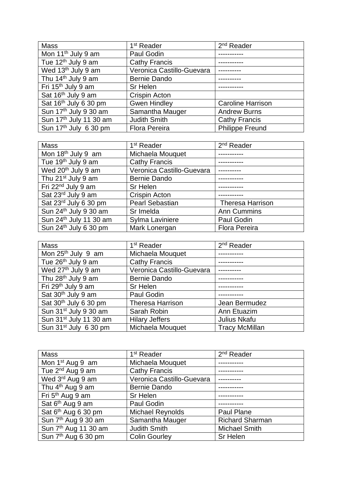| <b>Mass</b>                        | 1 <sup>st</sup> Reader    | 2 <sup>nd</sup> Reader   |
|------------------------------------|---------------------------|--------------------------|
| Mon 11 <sup>th</sup> July 9 am     | Paul Godin                |                          |
| Tue $12th$ July 9 am               | <b>Cathy Francis</b>      |                          |
| Wed 13 <sup>th</sup> July 9 am     | Veronica Castillo-Guevara |                          |
| Thu 14 <sup>th</sup> July 9 am     | <b>Bernie Dando</b>       |                          |
| Fri 15 <sup>th</sup> July 9 am     | Sr Helen                  |                          |
| Sat 16th July 9 am                 | Crispin Acton             |                          |
| Sat 16 <sup>th</sup> July 6 30 pm  | <b>Gwen Hindley</b>       | <b>Caroline Harrison</b> |
| Sun 17 <sup>th</sup> July 9 30 am  | Samantha Mauger           | <b>Andrew Burns</b>      |
| Sun 17 <sup>th</sup> July 11 30 am | <b>Judith Smith</b>       | <b>Cathy Francis</b>     |
| Sun 17 <sup>th</sup> July 6 30 pm  | <b>Flora Pereira</b>      | <b>Philippe Freund</b>   |

| Mass                               | 1 <sup>st</sup> Reader    | 2 <sup>nd</sup> Reader  |
|------------------------------------|---------------------------|-------------------------|
| Mon 18 <sup>th</sup> July 9 am     | Michaela Mouquet          |                         |
| Tue 19 <sup>th</sup> July 9 am     | <b>Cathy Francis</b>      |                         |
| Wed 20 <sup>th</sup> July 9 am     | Veronica Castillo-Guevara |                         |
| Thu 21 <sup>st</sup> July 9 am     | <b>Bernie Dando</b>       |                         |
| Fri 22 <sup>nd</sup> July 9 am     | Sr Helen                  |                         |
| Sat 23rd July 9 am                 | <b>Crispin Acton</b>      |                         |
| Sat 23rd July 6 30 pm              | <b>Pearl Sebastian</b>    | <b>Theresa Harrison</b> |
| Sun 24 <sup>th</sup> July 9 30 am  | Sr Imelda                 | <b>Ann Cummins</b>      |
| Sun 24 <sup>th</sup> July 11 30 am | Sylma Laviniere           | Paul Godin              |
| Sun 24th July 6 30 pm              | Mark Lonergan             | <b>Flora Pereira</b>    |

| <b>Mass</b>                        | 1 <sup>st</sup> Reader    | $2nd$ Reader          |
|------------------------------------|---------------------------|-----------------------|
| Mon 25 <sup>th</sup> July 9 am     | Michaela Mouquet          |                       |
| Tue 26 <sup>th</sup> July 9 am     | <b>Cathy Francis</b>      |                       |
| Wed 27 <sup>th</sup> July 9 am     | Veronica Castillo-Guevara |                       |
| Thu 28 <sup>th</sup> July 9 am     | Bernie Dando              |                       |
| Fri 29 <sup>th</sup> July 9 am     | Sr Helen                  |                       |
| Sat 30 <sup>th</sup> July 9 am     | Paul Godin                |                       |
| Sat 30 <sup>th</sup> July 6 30 pm  | <b>Theresa Harrison</b>   | Jean Bermudez         |
| Sun 31 <sup>st</sup> July 9 30 am  | Sarah Robin               | Ann Etuazim           |
| Sun 31 <sup>st</sup> July 11 30 am | <b>Hilary Jeffers</b>     | Julius Nkafu          |
| Sun 31 <sup>st</sup> July 6 30 pm  | Michaela Mouquet          | <b>Tracy McMillan</b> |

| <b>Mass</b>                      | 1 <sup>st</sup> Reader    | $2nd$ Reader           |
|----------------------------------|---------------------------|------------------------|
|                                  |                           |                        |
| Mon 1 <sup>st</sup> Aug 9 am     | Michaela Mouquet          |                        |
| Tue 2 <sup>nd</sup> Aug 9 am     | <b>Cathy Francis</b>      |                        |
| Wed 3rd Aug 9 am                 | Veronica Castillo-Guevara |                        |
| Thu 4 <sup>th</sup> Aug 9 am     | <b>Bernie Dando</b>       |                        |
| Fri 5 <sup>th</sup> Aug 9 am     | Sr Helen                  |                        |
| Sat 6 <sup>th</sup> Aug 9 am     | Paul Godin                |                        |
| Sat 6 <sup>th</sup> Aug 6 30 pm  | <b>Michael Reynolds</b>   | <b>Paul Plane</b>      |
| Sun 7 <sup>th</sup> Aug 9 30 am  | Samantha Mauger           | <b>Richard Sharman</b> |
| Sun 7 <sup>th</sup> Aug 11 30 am | <b>Judith Smith</b>       | <b>Michael Smith</b>   |
| Sun 7 <sup>th</sup> Aug 6 30 pm  | <b>Colin Gourley</b>      | <b>Sr Helen</b>        |